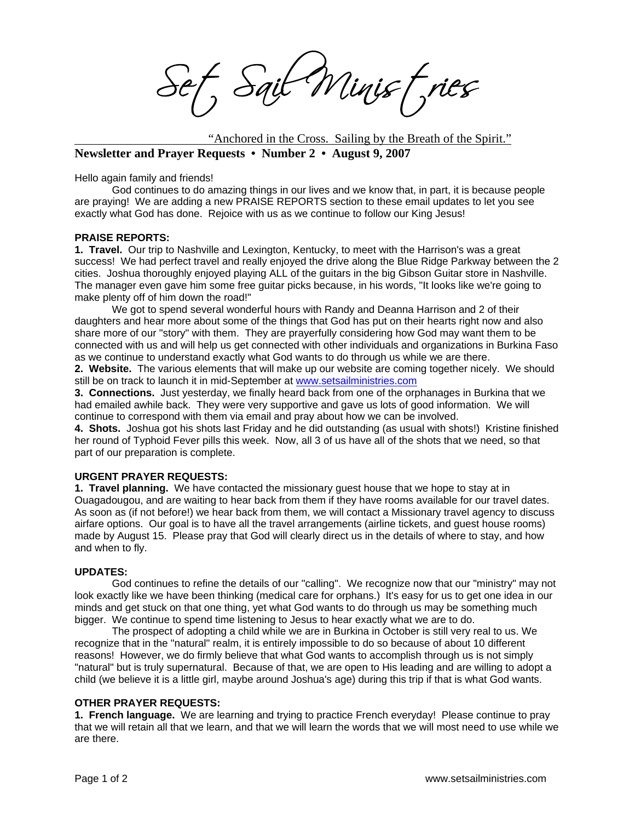Sait Minist, ries

"Anchored in the Cross. Sailing by the Breath of the Spirit." **Newsletter and Prayer Requests • Number 2 • August 9, 2007** 

Hello again family and friends!

God continues to do amazing things in our lives and we know that, in part, it is because people are praying! We are adding a new PRAISE REPORTS section to these email updates to let you see exactly what God has done. Rejoice with us as we continue to follow our King Jesus!

## **PRAISE REPORTS:**

**1. Travel.** Our trip to Nashville and Lexington, Kentucky, to meet with the Harrison's was a great success! We had perfect travel and really enjoyed the drive along the Blue Ridge Parkway between the 2 cities. Joshua thoroughly enjoyed playing ALL of the guitars in the big Gibson Guitar store in Nashville. The manager even gave him some free guitar picks because, in his words, "It looks like we're going to make plenty off of him down the road!"

We got to spend several wonderful hours with Randy and Deanna Harrison and 2 of their daughters and hear more about some of the things that God has put on their hearts right now and also share more of our "story" with them. They are prayerfully considering how God may want them to be connected with us and will help us get connected with other individuals and organizations in Burkina Faso as we continue to understand exactly what God wants to do through us while we are there.

**2. Website.** The various elements that will make up our website are coming together nicely. We should still be on track to launch it in mid-September at www.setsailministries.com

**3. Connections.** Just yesterday, we finally heard back from one of the orphanages in Burkina that we had emailed awhile back. They were very supportive and gave us lots of good information. We will continue to correspond with them via email and pray about how we can be involved.

**4. Shots.** Joshua got his shots last Friday and he did outstanding (as usual with shots!) Kristine finished her round of Typhoid Fever pills this week. Now, all 3 of us have all of the shots that we need, so that part of our preparation is complete.

## **URGENT PRAYER REQUESTS:**

**1. Travel planning.** We have contacted the missionary guest house that we hope to stay at in Ouagadougou, and are waiting to hear back from them if they have rooms available for our travel dates. As soon as (if not before!) we hear back from them, we will contact a Missionary travel agency to discuss airfare options. Our goal is to have all the travel arrangements (airline tickets, and guest house rooms) made by August 15. Please pray that God will clearly direct us in the details of where to stay, and how and when to fly.

## **UPDATES:**

God continues to refine the details of our "calling". We recognize now that our "ministry" may not look exactly like we have been thinking (medical care for orphans.) It's easy for us to get one idea in our minds and get stuck on that one thing, yet what God wants to do through us may be something much bigger. We continue to spend time listening to Jesus to hear exactly what we are to do.

The prospect of adopting a child while we are in Burkina in October is still very real to us. We recognize that in the "natural" realm, it is entirely impossible to do so because of about 10 different reasons! However, we do firmly believe that what God wants to accomplish through us is not simply "natural" but is truly supernatural. Because of that, we are open to His leading and are willing to adopt a child (we believe it is a little girl, maybe around Joshua's age) during this trip if that is what God wants.

## **OTHER PRAYER REQUESTS:**

**1. French language.** We are learning and trying to practice French everyday! Please continue to pray that we will retain all that we learn, and that we will learn the words that we will most need to use while we are there.